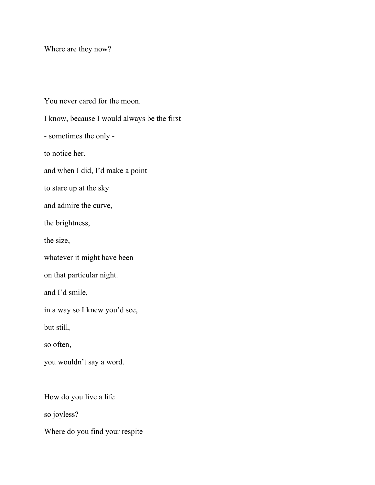Where are they now?

You never cared for the moon. I know, because I would always be the first - sometimes the only to notice her. and when I did, I'd make a point to stare up at the sky and admire the curve, the brightness, the size, whatever it might have been on that particular night. and I'd smile, in a way so I knew you'd see, but still, so often, you wouldn't say a word. How do you live a life so joyless?

Where do you find your respite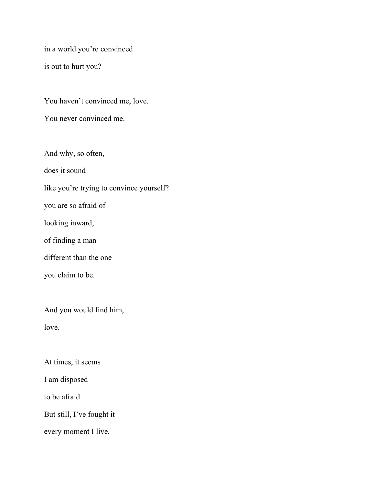in a world you're convinced

is out to hurt you?

You haven't convinced me, love.

You never convinced me.

And why, so often,

does it sound

like you're trying to convince yourself?

you are so afraid of

looking inward,

of finding a man

different than the one

you claim to be.

And you would find him,

love.

At times, it seems

I am disposed

to be afraid.

But still, I've fought it

every moment I live,